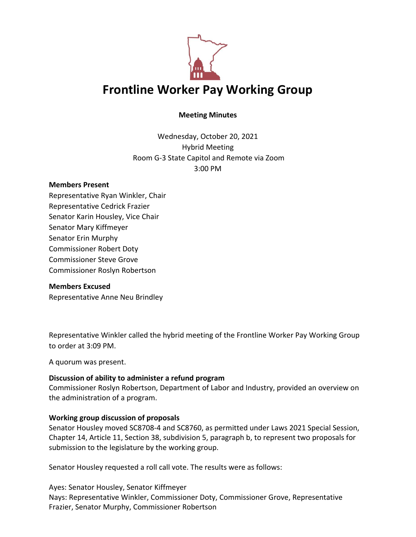

# **Meeting Minutes**

Wednesday, October 20, 2021 Hybrid Meeting Room G-3 State Capitol and Remote via Zoom 3:00 PM

#### **Members Present**

Representative Ryan Winkler, Chair Representative Cedrick Frazier Senator Karin Housley, Vice Chair Senator Mary Kiffmeyer Senator Erin Murphy Commissioner Robert Doty Commissioner Steve Grove Commissioner Roslyn Robertson

#### **Members Excused**

Representative Anne Neu Brindley

Representative Winkler called the hybrid meeting of the Frontline Worker Pay Working Group to order at 3:09 PM.

A quorum was present.

## **Discussion of ability to administer a refund program**

Commissioner Roslyn Robertson, Department of Labor and Industry, provided an overview on the administration of a program.

## **Working group discussion of proposals**

Senator Housley moved SC8708-4 and SC8760, as permitted under Laws 2021 Special Session, Chapter 14, Article 11, Section 38, subdivision 5, paragraph b, to represent two proposals for submission to the legislature by the working group.

Senator Housley requested a roll call vote. The results were as follows:

Ayes: Senator Housley, Senator Kiffmeyer Nays: Representative Winkler, Commissioner Doty, Commissioner Grove, Representative Frazier, Senator Murphy, Commissioner Robertson